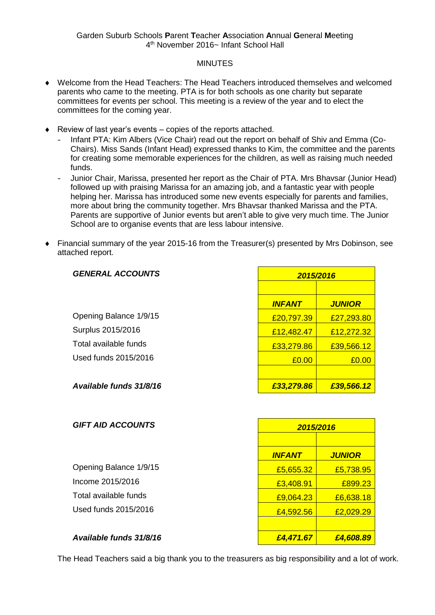## **MINUTES**

- Welcome from the Head Teachers: The Head Teachers introduced themselves and welcomed parents who came to the meeting. PTA is for both schools as one charity but separate committees for events per school. This meeting is a review of the year and to elect the committees for the coming year.
- $\triangle$  Review of last year's events copies of the reports attached.
	- Infant PTA: Kim Albers (Vice Chair) read out the report on behalf of Shiv and Emma (Co-Chairs). Miss Sands (Infant Head) expressed thanks to Kim, the committee and the parents for creating some memorable experiences for the children, as well as raising much needed funds.
	- Junior Chair, Marissa, presented her report as the Chair of PTA. Mrs Bhavsar (Junior Head) followed up with praising Marissa for an amazing job, and a fantastic year with people helping her. Marissa has introduced some new events especially for parents and families, more about bring the community together. Mrs Bhavsar thanked Marissa and the PTA. Parents are supportive of Junior events but aren't able to give very much time. The Junior School are to organise events that are less labour intensive.
- Financial summary of the year 2015-16 from the Treasurer(s) presented by Mrs Dobinson, see attached report.

| <b>GENERAL ACCOUNTS</b> | 2015/2016     |               |
|-------------------------|---------------|---------------|
|                         |               |               |
|                         | <b>INFANT</b> | <b>JUNIOR</b> |
| Opening Balance 1/9/15  | £20,797.39    | £27,293.80    |
| Surplus 2015/2016       | £12,482.47    | £12,272.32    |
| Total available funds   | £33,279.86    | £39,566.12    |
| Used funds 2015/2016    | £0.00         | £0.00         |
|                         |               |               |
| Available funds 31/8/16 | £33,279.86    | £39,566.12    |

| <b>GIFT AID ACCOUNTS</b> | 2015/2016        |                  |
|--------------------------|------------------|------------------|
|                          |                  |                  |
|                          | <b>INFANT</b>    | <b>JUNIOR</b>    |
| Opening Balance 1/9/15   | £5,655.32        | £5,738.95        |
| Income 2015/2016         | £3,408.91        | £899.23          |
| Total available funds    | £9,064.23        | £6,638.18        |
| Used funds 2015/2016     | £4,592.56        | £2,029.29        |
|                          |                  |                  |
| Availahla funde 21/8/16  | <i>CA 171 67</i> | <u>CA GOR RO</u> |

*Available funds 31/8/16 £4,471.67 £4,608.89*

The Head Teachers said a big thank you to the treasurers as big responsibility and a lot of work.